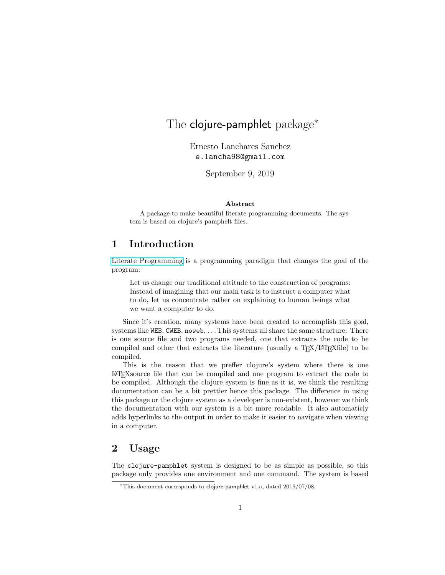# The clojure-pamphlet package<sup>\*</sup>

Ernesto Lanchares Sanchez e.lancha98@gmail.com

September 9, 2019

#### Abstract

A package to make beautiful literate programming documents. The system is based on clojure's pamphelt files.

## 1 Introduction

[Literate Programming](http://www.literateprogramming.com/) is a programming paradigm that changes the goal of the program:

Let us change our traditional attitude to the construction of programs: Instead of imagining that our main task is to instruct a computer what to do, let us concentrate rather on explaining to human beings what we want a computer to do.

Since it's creation, many systems have been created to accomplish this goal, systems like WEB, CWEB, noweb, . . . This systems all share the same structure: There is one source file and two programs needed, one that extracts the code to be compiled and other that extracts the literature (usually a  $T_F X / F T_F X f_i$ le) to be compiled.

This is the reason that we preffer clojure's system where there is one LATEXsource file that can be compiled and one program to extract the code to be compiled. Although the clojure system is fine as it is, we think the resulting documentation can be a bit prettier hence this package. The difference in using this package or the clojure system as a developer is non-existent, however we think the documentation with our system is a bit more readable. It also automaticly adds hyperlinks to the output in order to make it easier to navigate when viewing in a computer.

## 2 Usage

The clojure-pamphlet system is designed to be as simple as possible, so this package only provides one environment and one command. The system is based

<sup>∗</sup>This document corresponds to clojure-pamphlet v1.o, dated 2019/07/08.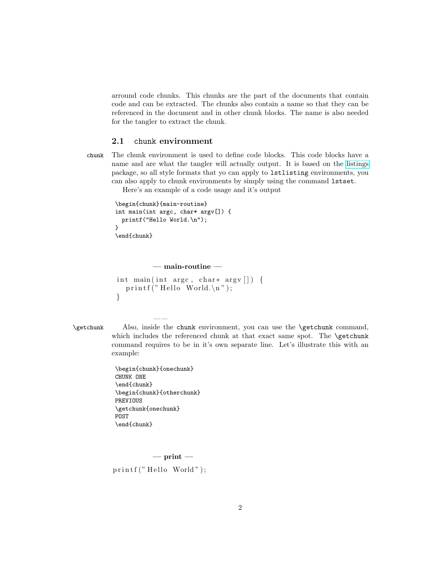arround code chunks. This chunks are the part of the documents that contain code and can be extracted. The chunks also contain a name so that they can be referenced in the document and in other chunk blocks. The name is also needed for the tangler to extract the chunk.

#### 2.1 chunk environment

chunk The chunk environment is used to define code blocks. This code blocks have a name and are what the tangler will actually output. It is based on the [listings](https://www.ctan.org/pkg/listings) package, so all style formats that yo can apply to lstlisting environments, you can also apply to chunk environments by simply using the command lstset.

Here's an example of a code usage and it's output

```
\begin{chunk}{main-routine}
int main(int argc, char* argv[]) {
 printf("Hello World.\n");
}
\end{chunk}
```

```
- main-routine -int main (int argc, char * argv \vert) {
  print f("Hello World.\n' ;
}
```
\getchunk Also, inside the chunk environment, you can use the \getchunk command, which includes the referenced chunk at that exact same spot. The \getchunk command requires to be in it's own separate line. Let's illustrate this with an example:

> \begin{chunk}{onechunk} CHUNK ONE \end{chunk} \begin{chunk}{otherchunk} PREVIOUS \getchunk{onechunk} POST \end{chunk}

——

<span id="page-1-0"></span> $-$  print  $$ printf ("Hello World");